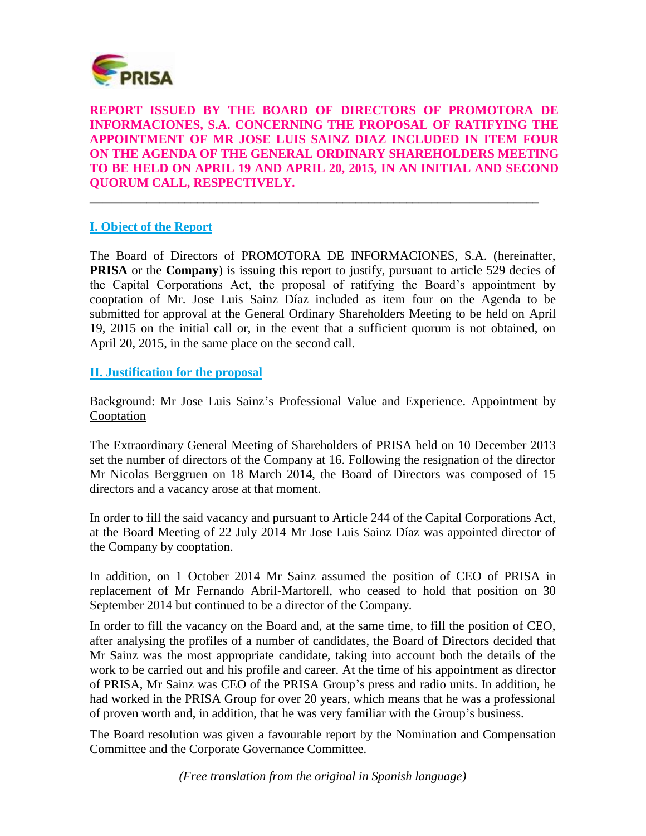

**REPORT ISSUED BY THE BOARD OF DIRECTORS OF PROMOTORA DE INFORMACIONES, S.A. CONCERNING THE PROPOSAL OF RATIFYING THE APPOINTMENT OF MR JOSE LUIS SAINZ DIAZ INCLUDED IN ITEM FOUR ON THE AGENDA OF THE GENERAL ORDINARY SHAREHOLDERS MEETING TO BE HELD ON APRIL 19 AND APRIL 20, 2015, IN AN INITIAL AND SECOND QUORUM CALL, RESPECTIVELY.** 

**\_\_\_\_\_\_\_\_\_\_\_\_\_\_\_\_\_\_\_\_\_\_\_\_\_\_\_\_\_\_\_\_\_\_\_\_\_\_\_\_\_\_\_\_\_\_\_\_\_\_\_\_\_\_\_\_\_\_\_\_\_\_\_\_\_\_\_\_\_\_\_**

## **I. Object of the Report**

The Board of Directors of PROMOTORA DE INFORMACIONES, S.A. (hereinafter, **PRISA** or the **Company**) is issuing this report to justify, pursuant to article 529 decies of the Capital Corporations Act, the proposal of ratifying the Board's appointment by cooptation of Mr. Jose Luis Sainz Díaz included as item four on the Agenda to be submitted for approval at the General Ordinary Shareholders Meeting to be held on April 19, 2015 on the initial call or, in the event that a sufficient quorum is not obtained, on April 20, 2015, in the same place on the second call.

**II. Justification for the proposal**

Background: Mr Jose Luis Sainz's Professional Value and Experience. Appointment by Cooptation

The Extraordinary General Meeting of Shareholders of PRISA held on 10 December 2013 set the number of directors of the Company at 16. Following the resignation of the director Mr Nicolas Berggruen on 18 March 2014, the Board of Directors was composed of 15 directors and a vacancy arose at that moment.

In order to fill the said vacancy and pursuant to Article 244 of the Capital Corporations Act, at the Board Meeting of 22 July 2014 Mr Jose Luis Sainz Díaz was appointed director of the Company by cooptation.

In addition, on 1 October 2014 Mr Sainz assumed the position of CEO of PRISA in replacement of Mr Fernando Abril-Martorell, who ceased to hold that position on 30 September 2014 but continued to be a director of the Company.

In order to fill the vacancy on the Board and, at the same time, to fill the position of CEO, after analysing the profiles of a number of candidates, the Board of Directors decided that Mr Sainz was the most appropriate candidate, taking into account both the details of the work to be carried out and his profile and career. At the time of his appointment as director of PRISA, Mr Sainz was CEO of the PRISA Group's press and radio units. In addition, he had worked in the PRISA Group for over 20 years, which means that he was a professional of proven worth and, in addition, that he was very familiar with the Group's business.

The Board resolution was given a favourable report by the Nomination and Compensation Committee and the Corporate Governance Committee.

*(Free translation from the original in Spanish language)*